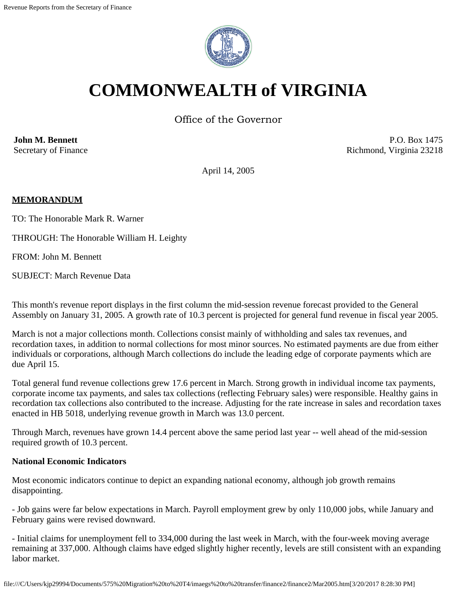

# **COMMONWEALTH of VIRGINIA**

Office of the Governor

**John M. Bennett** Secretary of Finance

P.O. Box 1475 Richmond, Virginia 23218

April 14, 2005

### **MEMORANDUM**

TO: The Honorable Mark R. Warner

THROUGH: The Honorable William H. Leighty

FROM: John M. Bennett

SUBJECT: March Revenue Data

This month's revenue report displays in the first column the mid-session revenue forecast provided to the General Assembly on January 31, 2005. A growth rate of 10.3 percent is projected for general fund revenue in fiscal year 2005.

March is not a major collections month. Collections consist mainly of withholding and sales tax revenues, and recordation taxes, in addition to normal collections for most minor sources. No estimated payments are due from either individuals or corporations, although March collections do include the leading edge of corporate payments which are due April 15.

Total general fund revenue collections grew 17.6 percent in March. Strong growth in individual income tax payments, corporate income tax payments, and sales tax collections (reflecting February sales) were responsible. Healthy gains in recordation tax collections also contributed to the increase. Adjusting for the rate increase in sales and recordation taxes enacted in HB 5018, underlying revenue growth in March was 13.0 percent.

Through March, revenues have grown 14.4 percent above the same period last year -- well ahead of the mid-session required growth of 10.3 percent.

#### **National Economic Indicators**

Most economic indicators continue to depict an expanding national economy, although job growth remains disappointing.

- Job gains were far below expectations in March. Payroll employment grew by only 110,000 jobs, while January and February gains were revised downward.

- Initial claims for unemployment fell to 334,000 during the last week in March, with the four-week moving average remaining at 337,000. Although claims have edged slightly higher recently, levels are still consistent with an expanding labor market.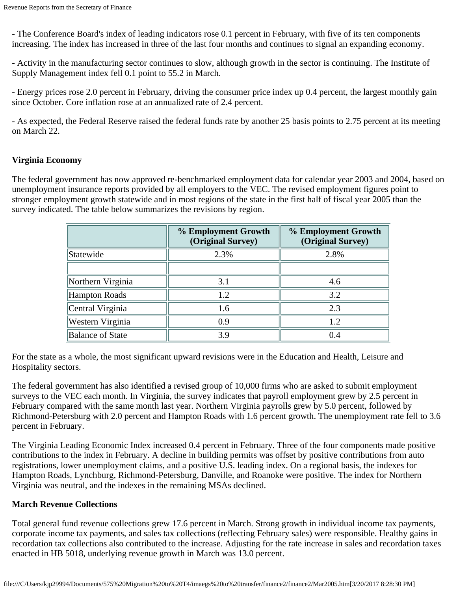- The Conference Board's index of leading indicators rose 0.1 percent in February, with five of its ten components increasing. The index has increased in three of the last four months and continues to signal an expanding economy.

- Activity in the manufacturing sector continues to slow, although growth in the sector is continuing. The Institute of Supply Management index fell 0.1 point to 55.2 in March.

- Energy prices rose 2.0 percent in February, driving the consumer price index up 0.4 percent, the largest monthly gain since October. Core inflation rose at an annualized rate of 2.4 percent.

- As expected, the Federal Reserve raised the federal funds rate by another 25 basis points to 2.75 percent at its meeting on March 22.

#### **Virginia Economy**

The federal government has now approved re-benchmarked employment data for calendar year 2003 and 2004, based on unemployment insurance reports provided by all employers to the VEC. The revised employment figures point to stronger employment growth statewide and in most regions of the state in the first half of fiscal year 2005 than the survey indicated. The table below summarizes the revisions by region.

|                         | % Employment Growth<br>(Original Survey) | % Employment Growth<br>(Original Survey) |
|-------------------------|------------------------------------------|------------------------------------------|
| Statewide               | 2.3%                                     | 2.8%                                     |
|                         |                                          |                                          |
| Northern Virginia       | 3.1                                      | 4.6                                      |
| Hampton Roads           | 1.2                                      | 3.2                                      |
| Central Virginia        | 1.6                                      | 2.3                                      |
| Western Virginia        | 0.9                                      | 1.2                                      |
| <b>Balance of State</b> | 3.9                                      | 0.4                                      |

For the state as a whole, the most significant upward revisions were in the Education and Health, Leisure and Hospitality sectors.

The federal government has also identified a revised group of 10,000 firms who are asked to submit employment surveys to the VEC each month. In Virginia, the survey indicates that payroll employment grew by 2.5 percent in February compared with the same month last year. Northern Virginia payrolls grew by 5.0 percent, followed by Richmond-Petersburg with 2.0 percent and Hampton Roads with 1.6 percent growth. The unemployment rate fell to 3.6 percent in February.

The Virginia Leading Economic Index increased 0.4 percent in February. Three of the four components made positive contributions to the index in February. A decline in building permits was offset by positive contributions from auto registrations, lower unemployment claims, and a positive U.S. leading index. On a regional basis, the indexes for Hampton Roads, Lynchburg, Richmond-Petersburg, Danville, and Roanoke were positive. The index for Northern Virginia was neutral, and the indexes in the remaining MSAs declined.

#### **March Revenue Collections**

Total general fund revenue collections grew 17.6 percent in March. Strong growth in individual income tax payments, corporate income tax payments, and sales tax collections (reflecting February sales) were responsible. Healthy gains in recordation tax collections also contributed to the increase. Adjusting for the rate increase in sales and recordation taxes enacted in HB 5018, underlying revenue growth in March was 13.0 percent.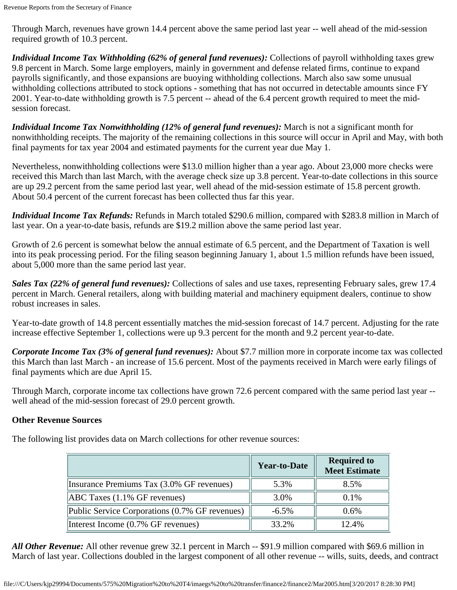Through March, revenues have grown 14.4 percent above the same period last year -- well ahead of the mid-session required growth of 10.3 percent.

*Individual Income Tax Withholding (62% of general fund revenues):* Collections of payroll withholding taxes grew 9.8 percent in March. Some large employers, mainly in government and defense related firms, continue to expand payrolls significantly, and those expansions are buoying withholding collections. March also saw some unusual withholding collections attributed to stock options - something that has not occurred in detectable amounts since FY 2001. Year-to-date withholding growth is 7.5 percent -- ahead of the 6.4 percent growth required to meet the midsession forecast.

*Individual Income Tax Nonwithholding (12% of general fund revenues):* March is not a significant month for nonwithholding receipts. The majority of the remaining collections in this source will occur in April and May, with both final payments for tax year 2004 and estimated payments for the current year due May 1.

Nevertheless, nonwithholding collections were \$13.0 million higher than a year ago. About 23,000 more checks were received this March than last March, with the average check size up 3.8 percent. Year-to-date collections in this source are up 29.2 percent from the same period last year, well ahead of the mid-session estimate of 15.8 percent growth. About 50.4 percent of the current forecast has been collected thus far this year.

*Individual Income Tax Refunds:* Refunds in March totaled \$290.6 million, compared with \$283.8 million in March of last year. On a year-to-date basis, refunds are \$19.2 million above the same period last year.

Growth of 2.6 percent is somewhat below the annual estimate of 6.5 percent, and the Department of Taxation is well into its peak processing period. For the filing season beginning January 1, about 1.5 million refunds have been issued, about 5,000 more than the same period last year.

*Sales Tax (22% of general fund revenues):* Collections of sales and use taxes, representing February sales, grew 17.4 percent in March. General retailers, along with building material and machinery equipment dealers, continue to show robust increases in sales.

Year-to-date growth of 14.8 percent essentially matches the mid-session forecast of 14.7 percent. Adjusting for the rate increase effective September 1, collections were up 9.3 percent for the month and 9.2 percent year-to-date.

*Corporate Income Tax (3% of general fund revenues):* About \$7.7 million more in corporate income tax was collected this March than last March - an increase of 15.6 percent. Most of the payments received in March were early filings of final payments which are due April 15.

Through March, corporate income tax collections have grown 72.6 percent compared with the same period last year - well ahead of the mid-session forecast of 29.0 percent growth.

## **Other Revenue Sources**

The following list provides data on March collections for other revenue sources:

|                                                | <b>Year-to-Date</b> | <b>Required to</b><br><b>Meet Estimate</b> |
|------------------------------------------------|---------------------|--------------------------------------------|
| Insurance Premiums Tax (3.0% GF revenues)      | 5.3%                | 8.5%                                       |
| $ABC$ Taxes $(1.1\%$ GF revenues)              | 3.0%                | 0.1%                                       |
| Public Service Corporations (0.7% GF revenues) | $-6.5\%$            | 0.6%                                       |
| Interest Income (0.7% GF revenues)             | 33.2%               | 12.4%                                      |

*All Other Revenue:* All other revenue grew 32.1 percent in March -- \$91.9 million compared with \$69.6 million in March of last year. Collections doubled in the largest component of all other revenue -- wills, suits, deeds, and contract